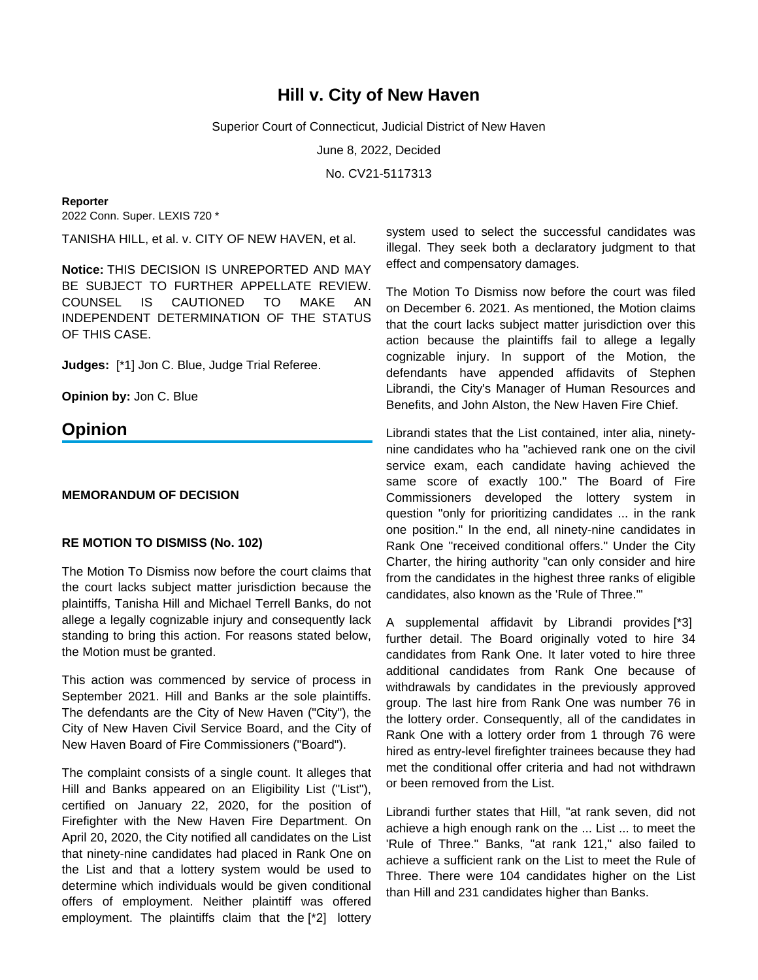# **Hill v. City of New Haven**

Superior Court of Connecticut, Judicial District of New Haven

June 8, 2022, Decided

No. CV21-5117313

#### **Reporter**

2022 Conn. Super. LEXIS 720 \*

TANISHA HILL, et al. v. CITY OF NEW HAVEN, et al.

**Notice:** THIS DECISION IS UNREPORTED AND MAY BE SUBJECT TO FURTHER APPELLATE REVIEW. COUNSEL IS CAUTIONED TO MAKE AN INDEPENDENT DETERMINATION OF THE STATUS OF THIS CASE.

**Judges:** [\*1] Jon C. Blue, Judge Trial Referee.

**Opinion by:** Jon C. Blue

## **Opinion**

### **MEMORANDUM OF DECISION**

### **RE MOTION TO DISMISS (No. 102)**

The Motion To Dismiss now before the court claims that the court lacks subject matter jurisdiction because the plaintiffs, Tanisha Hill and Michael Terrell Banks, do not allege a legally cognizable injury and consequently lack standing to bring this action. For reasons stated below, the Motion must be granted.

This action was commenced by service of process in September 2021. Hill and Banks ar the sole plaintiffs. The defendants are the City of New Haven ("City"), the City of New Haven Civil Service Board, and the City of New Haven Board of Fire Commissioners ("Board").

The complaint consists of a single count. It alleges that Hill and Banks appeared on an Eligibility List ("List"), certified on January 22, 2020, for the position of Firefighter with the New Haven Fire Department. On April 20, 2020, the City notified all candidates on the List that ninety-nine candidates had placed in Rank One on the List and that a lottery system would be used to determine which individuals would be given conditional offers of employment. Neither plaintiff was offered employment. The plaintiffs claim that the [\*2] lottery system used to select the successful candidates was illegal. They seek both a declaratory judgment to that effect and compensatory damages.

The Motion To Dismiss now before the court was filed on December 6. 2021. As mentioned, the Motion claims that the court lacks subject matter jurisdiction over this action because the plaintiffs fail to allege a legally cognizable injury. In support of the Motion, the defendants have appended affidavits of Stephen Librandi, the City's Manager of Human Resources and Benefits, and John Alston, the New Haven Fire Chief.

Librandi states that the List contained, inter alia, ninetynine candidates who ha "achieved rank one on the civil service exam, each candidate having achieved the same score of exactly 100." The Board of Fire Commissioners developed the lottery system in question "only for prioritizing candidates ... in the rank one position." In the end, all ninety-nine candidates in Rank One "received conditional offers." Under the City Charter, the hiring authority "can only consider and hire from the candidates in the highest three ranks of eligible candidates, also known as the 'Rule of Three.'"

A supplemental affidavit by Librandi provides [\*3] further detail. The Board originally voted to hire 34 candidates from Rank One. It later voted to hire three additional candidates from Rank One because of withdrawals by candidates in the previously approved group. The last hire from Rank One was number 76 in the lottery order. Consequently, all of the candidates in Rank One with a lottery order from 1 through 76 were hired as entry-level firefighter trainees because they had met the conditional offer criteria and had not withdrawn or been removed from the List.

Librandi further states that Hill, "at rank seven, did not achieve a high enough rank on the ... List ... to meet the 'Rule of Three." Banks, "at rank 121," also failed to achieve a sufficient rank on the List to meet the Rule of Three. There were 104 candidates higher on the List than Hill and 231 candidates higher than Banks.